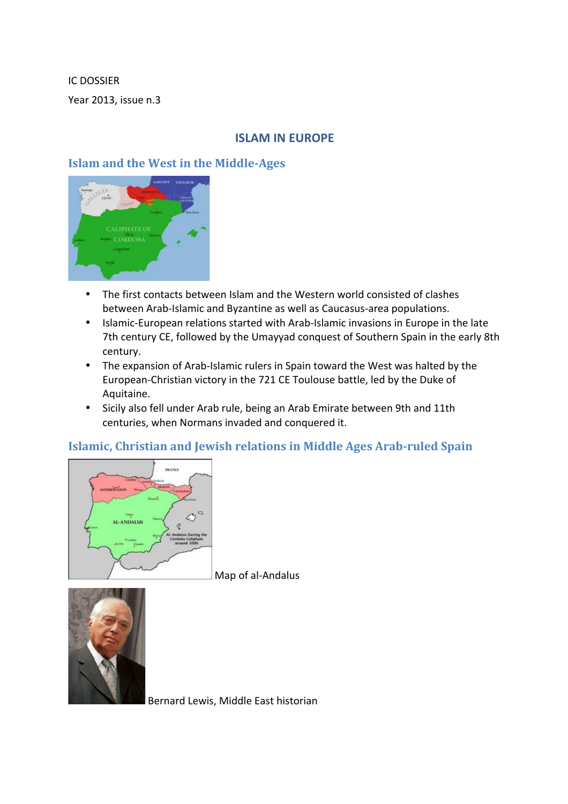IC DOSSIER Year 2013, issue n.3

# **ISLAM IN EUROPE**

# **Islam and the West in the Middle-Ages**



- The first contacts between Islam and the Western world consisted of clashes between Arab-Islamic and Byzantine as well as Caucasus-area populations.
- Islamic-European relations started with Arab-Islamic invasions in Europe in the late 7th century CE, followed by the Umayyad conquest of Southern Spain in the early 8th century.
- The expansion of Arab-Islamic rulers in Spain toward the West was halted by the European-Christian victory in the 721 CE Toulouse battle, led by the Duke of Aquitaine.
- Sicily also fell under Arab rule, being an Arab Emirate between 9th and 11th centuries, when Normans invaded and conquered it.

## **Islamic, Christian and Jewish relations in Middle Ages Arab-ruled Spain**



Map of al-Andalus



Bernard Lewis, Middle East historian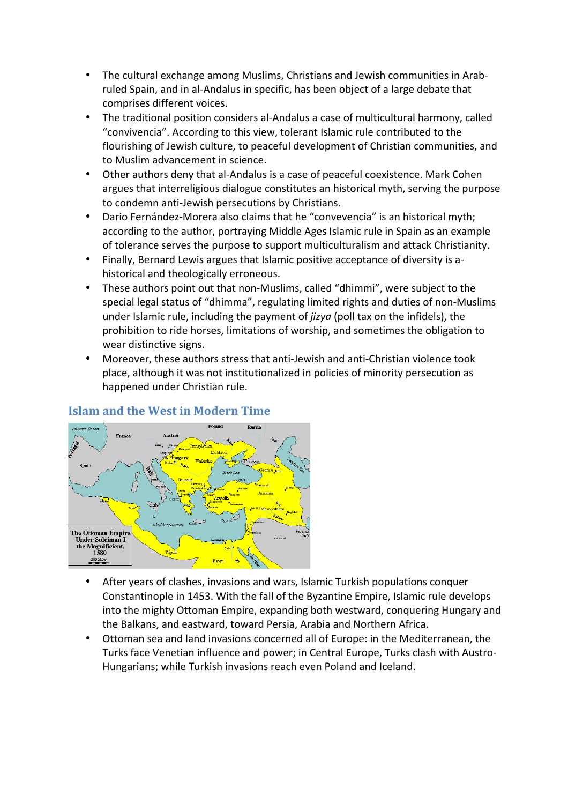- The cultural exchange among Muslims, Christians and Jewish communities in Arabruled Spain, and in al-Andalus in specific, has been object of a large debate that comprises different voices.
- The traditional position considers al-Andalus a case of multicultural harmony, called "convivencia". According to this view, tolerant Islamic rule contributed to the flourishing of Jewish culture, to peaceful development of Christian communities, and to Muslim advancement in science.
- Other authors deny that al-Andalus is a case of peaceful coexistence. Mark Cohen argues that interreligious dialogue constitutes an historical myth, serving the purpose to condemn anti-Jewish persecutions by Christians.
- Dario Fernández-Morera also claims that he "convevencia" is an historical myth; according to the author, portraying Middle Ages Islamic rule in Spain as an example of tolerance serves the purpose to support multiculturalism and attack Christianity.
- Finally, Bernard Lewis argues that Islamic positive acceptance of diversity is ahistorical and theologically erroneous.
- These authors point out that non-Muslims, called "dhimmi", were subject to the special legal status of "dhimma", regulating limited rights and duties of non-Muslims under Islamic rule, including the payment of *jizya* (poll tax on the infidels), the prohibition to ride horses, limitations of worship, and sometimes the obligation to wear distinctive signs.
- Moreover, these authors stress that anti-Jewish and anti-Christian violence took place, although it was not institutionalized in policies of minority persecution as happened under Christian rule.

# **Islam and the West in Modern Time**



- After years of clashes, invasions and wars, Islamic Turkish populations conquer Constantinople in 1453. With the fall of the Byzantine Empire, Islamic rule develops into the mighty Ottoman Empire, expanding both westward, conquering Hungary and the Balkans, and eastward, toward Persia, Arabia and Northern Africa.
- Ottoman sea and land invasions concerned all of Europe: in the Mediterranean, the Turks face Venetian influence and power; in Central Europe, Turks clash with Austro-Hungarians; while Turkish invasions reach even Poland and Iceland.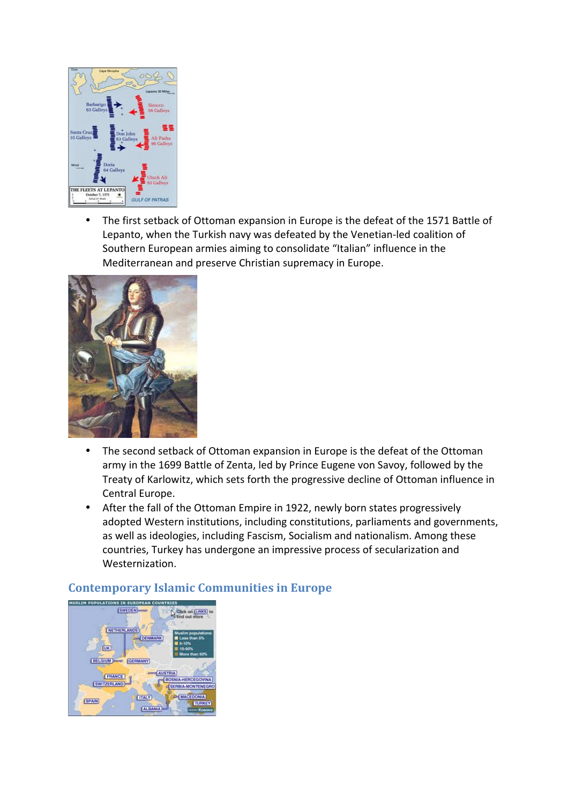

The first setback of Ottoman expansion in Europe is the defeat of the 1571 Battle of Lepanto, when the Turkish navy was defeated by the Venetian-led coalition of Southern European armies aiming to consolidate "Italian" influence in the Mediterranean and preserve Christian supremacy in Europe.



- The second setback of Ottoman expansion in Europe is the defeat of the Ottoman army in the 1699 Battle of Zenta, led by Prince Eugene von Savoy, followed by the Treaty of Karlowitz, which sets forth the progressive decline of Ottoman influence in Central Europe.
- After the fall of the Ottoman Empire in 1922, newly born states progressively adopted Western institutions, including constitutions, parliaments and governments, as well as ideologies, including Fascism, Socialism and nationalism. Among these countries, Turkey has undergone an impressive process of secularization and Westernization.

## **Contemporary Islamic Communities in Europe**

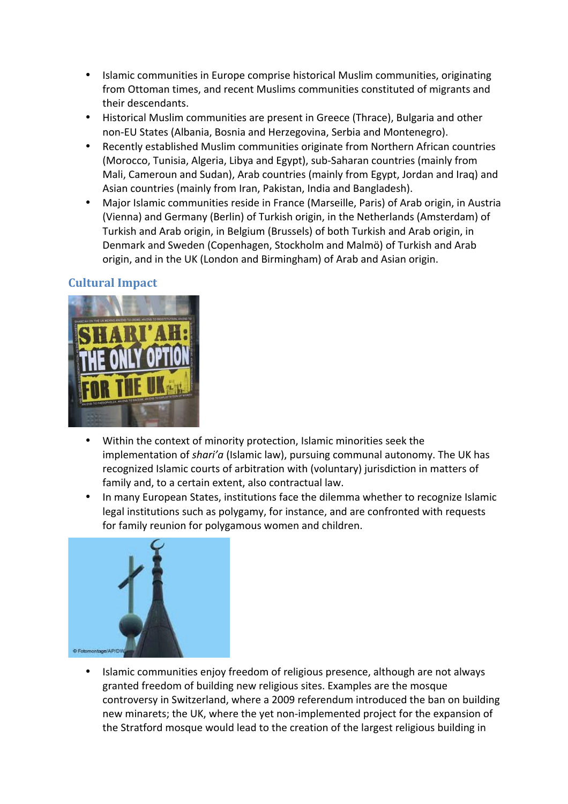- Islamic communities in Europe comprise historical Muslim communities, originating from Ottoman times, and recent Muslims communities constituted of migrants and their descendants.
- Historical Muslim communities are present in Greece (Thrace), Bulgaria and other non-EU States (Albania, Bosnia and Herzegovina, Serbia and Montenegro).
- Recently established Muslim communities originate from Northern African countries (Morocco, Tunisia, Algeria, Libya and Egypt), sub-Saharan countries (mainly from Mali, Cameroun and Sudan), Arab countries (mainly from Egypt, Jordan and Iraq) and Asian countries (mainly from Iran, Pakistan, India and Bangladesh).
- Major Islamic communities reside in France (Marseille, Paris) of Arab origin, in Austria (Vienna) and Germany (Berlin) of Turkish origin, in the Netherlands (Amsterdam) of Turkish and Arab origin, in Belgium (Brussels) of both Turkish and Arab origin, in Denmark and Sweden (Copenhagen, Stockholm and Malmö) of Turkish and Arab origin, and in the UK (London and Birmingham) of Arab and Asian origin.

# **Cultural Impact**



- Within the context of minority protection, Islamic minorities seek the implementation of *shari'a* (Islamic law), pursuing communal autonomy. The UK has recognized Islamic courts of arbitration with (voluntary) jurisdiction in matters of family and, to a certain extent, also contractual law.
- In many European States, institutions face the dilemma whether to recognize Islamic legal institutions such as polygamy, for instance, and are confronted with requests for family reunion for polygamous women and children.



Islamic communities enjoy freedom of religious presence, although are not always granted freedom of building new religious sites. Examples are the mosque controversy in Switzerland, where a 2009 referendum introduced the ban on building new minarets; the UK, where the yet non-implemented project for the expansion of the Stratford mosque would lead to the creation of the largest religious building in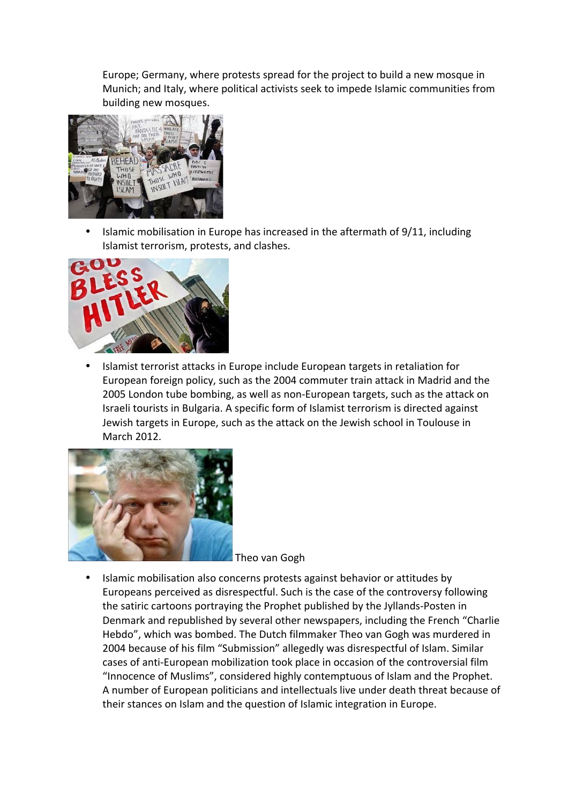Europe; Germany, where protests spread for the project to build a new mosque in Munich; and Italy, where political activists seek to impede Islamic communities from building new mosques.



Islamic mobilisation in Europe has increased in the aftermath of 9/11, including Islamist terrorism, protests, and clashes.



Islamist terrorist attacks in Europe include European targets in retaliation for European foreign policy, such as the 2004 commuter train attack in Madrid and the 2005 London tube bombing, as well as non-European targets, such as the attack on Israeli tourists in Bulgaria. A specific form of Islamist terrorism is directed against Jewish targets in Europe, such as the attack on the Jewish school in Toulouse in March 2012.



Theo van Gogh

Islamic mobilisation also concerns protests against behavior or attitudes by Europeans perceived as disrespectful. Such is the case of the controversy following the satiric cartoons portraying the Prophet published by the Jyllands-Posten in Denmark and republished by several other newspapers, including the French "Charlie Hebdo", which was bombed. The Dutch filmmaker Theo van Gogh was murdered in 2004 because of his film "Submission" allegedly was disrespectful of Islam. Similar cases of anti-European mobilization took place in occasion of the controversial film "Innocence of Muslims", considered highly contemptuous of Islam and the Prophet. A number of European politicians and intellectuals live under death threat because of their stances on Islam and the question of Islamic integration in Europe.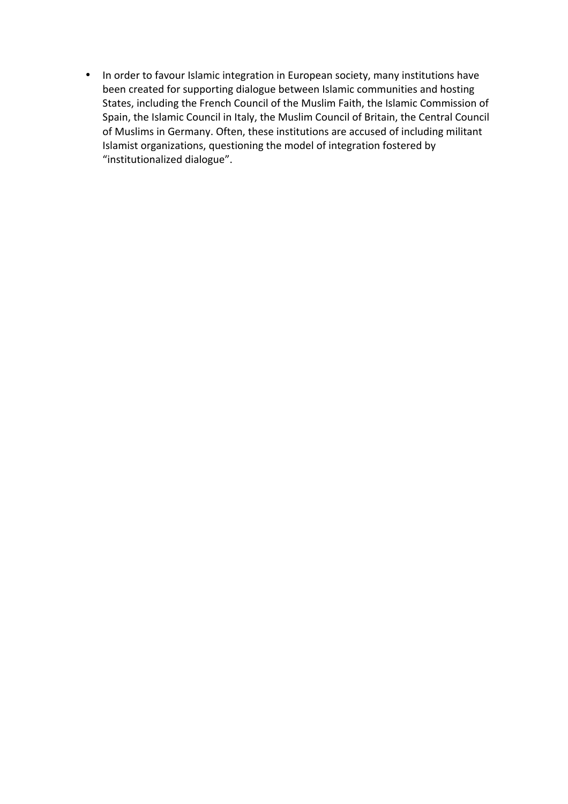• In order to favour Islamic integration in European society, many institutions have been created for supporting dialogue between Islamic communities and hosting States, including the French Council of the Muslim Faith, the Islamic Commission of Spain, the Islamic Council in Italy, the Muslim Council of Britain, the Central Council of Muslims in Germany. Often, these institutions are accused of including militant Islamist organizations, questioning the model of integration fostered by "institutionalized dialogue".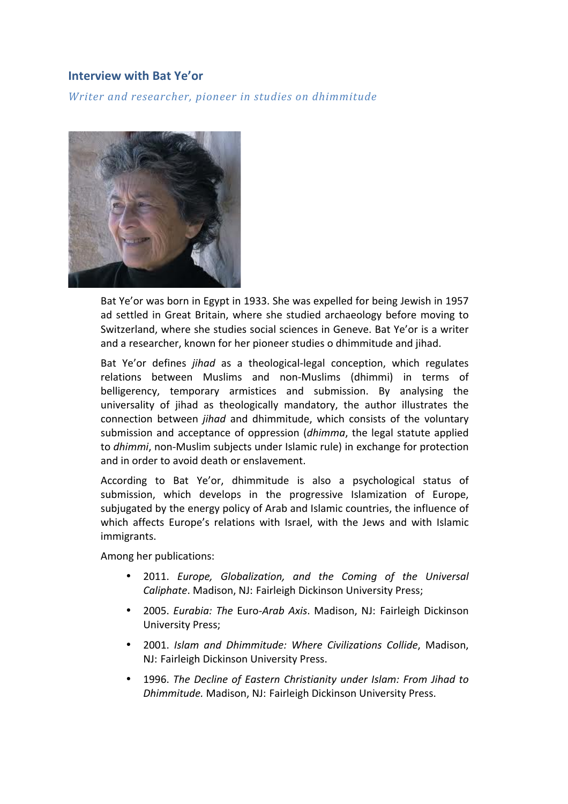## **Interview with Bat Ye'or**

*Writer and researcher, pioneer in studies on dhimmitude* 



Bat Ye'or was born in Egypt in 1933. She was expelled for being Jewish in 1957 ad settled in Great Britain, where she studied archaeology before moving to Switzerland, where she studies social sciences in Geneve. Bat Ye'or is a writer and a researcher, known for her pioneer studies o dhimmitude and iihad.

Bat Ye'or defines *jihad* as a theological-legal conception, which regulates relations between Muslims and non-Muslims (dhimmi) in terms of belligerency, temporary armistices and submission. By analysing the universality of jihad as theologically mandatory, the author illustrates the connection between *jihad* and dhimmitude, which consists of the voluntary submission and acceptance of oppression (*dhimma*, the legal statute applied to *dhimmi*, non-Muslim subiects under Islamic rule) in exchange for protection and in order to avoid death or enslavement.

According to Bat Ye'or, dhimmitude is also a psychological status of submission, which develops in the progressive Islamization of Europe, subjugated by the energy policy of Arab and Islamic countries, the influence of which affects Europe's relations with Israel, with the Jews and with Islamic immigrants.

Among her publications:

- 2011. *Europe, Globalization, and the Coming of the Universal Caliphate*. Madison, NJ: Fairleigh Dickinson University Press;
- 2005. *Eurabia: The Euro-Arab Axis*. Madison, NJ: Fairleigh Dickinson University Press;
- 2001. *Islam and Dhimmitude: Where Civilizations Collide*, Madison, NJ: Fairleigh Dickinson University Press.
- 1996. The Decline of Eastern Christianity under Islam: From Jihad to *Dhimmitude.* Madison, NJ: Fairleigh Dickinson University Press.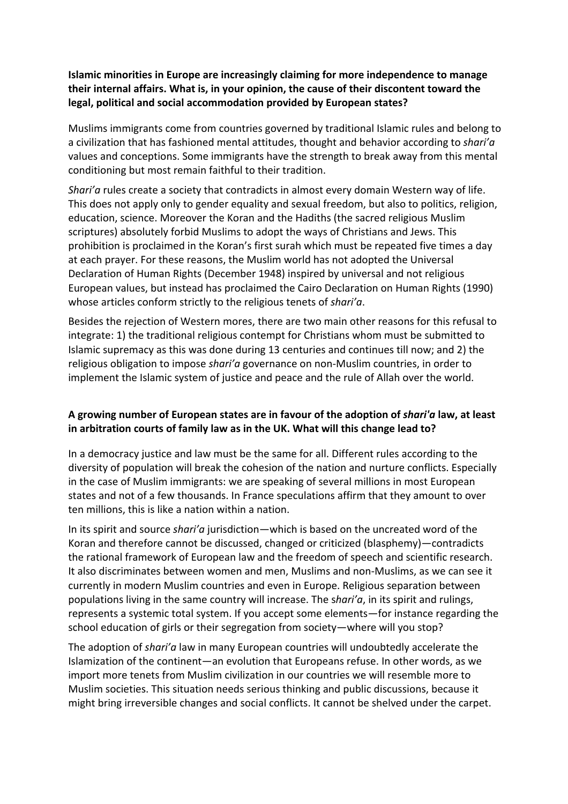**Islamic minorities in Europe are increasingly claiming for more independence to manage** their internal affairs. What is, in your opinion, the cause of their discontent toward the legal, political and social accommodation provided by European states?

Muslims immigrants come from countries governed by traditional Islamic rules and belong to a civilization that has fashioned mental attitudes, thought and behavior according to *shari'a* values and conceptions. Some immigrants have the strength to break away from this mental conditioning but most remain faithful to their tradition.

*Shari'a* rules create a society that contradicts in almost every domain Western way of life. This does not apply only to gender equality and sexual freedom, but also to politics, religion, education, science. Moreover the Koran and the Hadiths (the sacred religious Muslim scriptures) absolutely forbid Muslims to adopt the ways of Christians and Jews. This prohibition is proclaimed in the Koran's first surah which must be repeated five times a day at each prayer. For these reasons, the Muslim world has not adopted the Universal Declaration of Human Rights (December 1948) inspired by universal and not religious European values, but instead has proclaimed the Cairo Declaration on Human Rights (1990) whose articles conform strictly to the religious tenets of *shari'a*.

Besides the rejection of Western mores, there are two main other reasons for this refusal to integrate: 1) the traditional religious contempt for Christians whom must be submitted to Islamic supremacy as this was done during 13 centuries and continues till now; and 2) the religious obligation to impose *shari'a* governance on non-Muslim countries, in order to implement the Islamic system of justice and peace and the rule of Allah over the world.

### A growing number of European states are in favour of the adoption of *shari'a* law, at least in arbitration courts of family law as in the UK. What will this change lead to?

In a democracy justice and law must be the same for all. Different rules according to the diversity of population will break the cohesion of the nation and nurture conflicts. Especially in the case of Muslim immigrants: we are speaking of several millions in most European states and not of a few thousands. In France speculations affirm that they amount to over ten millions, this is like a nation within a nation.

In its spirit and source *shari'a* jurisdiction—which is based on the uncreated word of the Koran and therefore cannot be discussed, changed or criticized (blasphemy)—contradicts the rational framework of European law and the freedom of speech and scientific research. It also discriminates between women and men, Muslims and non-Muslims, as we can see it currently in modern Muslim countries and even in Europe. Religious separation between populations living in the same country will increase. The shari'a, in its spirit and rulings, represents a systemic total system. If you accept some elements—for instance regarding the school education of girls or their segregation from society—where will you stop?

The adoption of *shari'a* law in many European countries will undoubtedly accelerate the Islamization of the continent—an evolution that Europeans refuse. In other words, as we import more tenets from Muslim civilization in our countries we will resemble more to Muslim societies. This situation needs serious thinking and public discussions, because it might bring irreversible changes and social conflicts. It cannot be shelved under the carpet.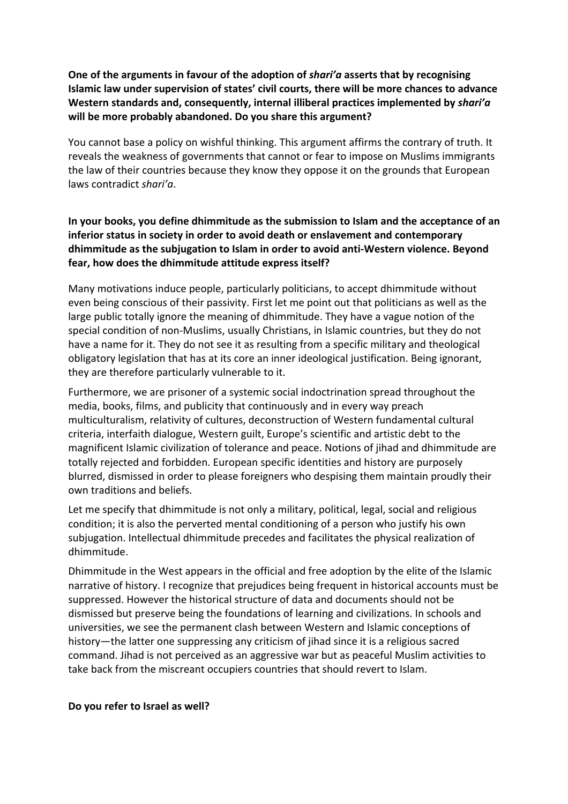**One of the arguments in favour of the adoption of shari'a asserts that by recognising Islamic law under supervision of states' civil courts, there will be more chances to advance Western standards and, consequently, internal illiberal practices implemented by** *shari'a* will be more probably abandoned. Do you share this argument?

You cannot base a policy on wishful thinking. This argument affirms the contrary of truth. It reveals the weakness of governments that cannot or fear to impose on Muslims immigrants the law of their countries because they know they oppose it on the grounds that European laws contradict *shari'a*. 

### In your books, you define dhimmitude as the submission to Islam and the acceptance of an **inferior status in society in order to avoid death or enslavement and contemporary dhimmitude** as the subjugation to Islam in order to avoid anti-Western violence. Beyond **fear, how does the dhimmitude attitude express itself?**

Many motivations induce people, particularly politicians, to accept dhimmitude without even being conscious of their passivity. First let me point out that politicians as well as the large public totally ignore the meaning of dhimmitude. They have a vague notion of the special condition of non-Muslims, usually Christians, in Islamic countries, but they do not have a name for it. They do not see it as resulting from a specific military and theological obligatory legislation that has at its core an inner ideological justification. Being ignorant, they are therefore particularly vulnerable to it.

Furthermore, we are prisoner of a systemic social indoctrination spread throughout the media, books, films, and publicity that continuously and in every way preach multiculturalism, relativity of cultures, deconstruction of Western fundamental cultural criteria, interfaith dialogue, Western guilt, Europe's scientific and artistic debt to the magnificent Islamic civilization of tolerance and peace. Notions of jihad and dhimmitude are totally rejected and forbidden. European specific identities and history are purposely blurred, dismissed in order to please foreigners who despising them maintain proudly their own traditions and beliefs.

Let me specify that dhimmitude is not only a military, political, legal, social and religious condition; it is also the perverted mental conditioning of a person who justify his own subjugation. Intellectual dhimmitude precedes and facilitates the physical realization of dhimmitude. 

Dhimmitude in the West appears in the official and free adoption by the elite of the Islamic narrative of history. I recognize that prejudices being frequent in historical accounts must be suppressed. However the historical structure of data and documents should not be dismissed but preserve being the foundations of learning and civilizations. In schools and universities, we see the permanent clash between Western and Islamic conceptions of history—the latter one suppressing any criticism of jihad since it is a religious sacred command. Jihad is not perceived as an aggressive war but as peaceful Muslim activities to take back from the miscreant occupiers countries that should revert to Islam.

#### **Do you refer to Israel as well?**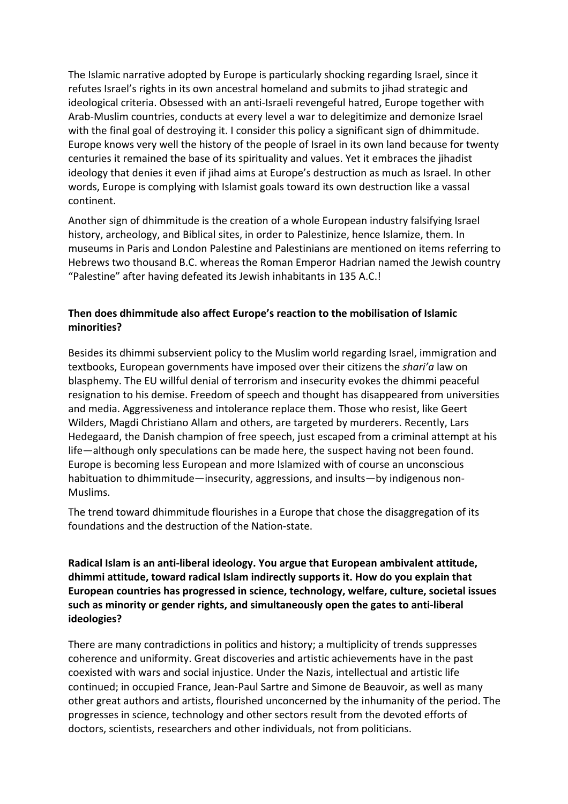The Islamic narrative adopted by Europe is particularly shocking regarding Israel, since it refutes Israel's rights in its own ancestral homeland and submits to jihad strategic and ideological criteria. Obsessed with an anti-Israeli revengeful hatred, Europe together with Arab-Muslim countries, conducts at every level a war to delegitimize and demonize Israel with the final goal of destroying it. I consider this policy a significant sign of dhimmitude. Europe knows very well the history of the people of Israel in its own land because for twenty centuries it remained the base of its spirituality and values. Yet it embraces the jihadist ideology that denies it even if jihad aims at Europe's destruction as much as Israel. In other words, Europe is complying with Islamist goals toward its own destruction like a vassal continent.

Another sign of dhimmitude is the creation of a whole European industry falsifying Israel history, archeology, and Biblical sites, in order to Palestinize, hence Islamize, them. In museums in Paris and London Palestine and Palestinians are mentioned on items referring to Hebrews two thousand B.C. whereas the Roman Emperor Hadrian named the Jewish country "Palestine" after having defeated its Jewish inhabitants in 135 A.C.!

### **Then does dhimmitude also affect Europe's reaction to the mobilisation of Islamic minorities?**

Besides its dhimmi subservient policy to the Muslim world regarding Israel, immigration and textbooks, European governments have imposed over their citizens the *shari'a* law on blasphemy. The EU willful denial of terrorism and insecurity evokes the dhimmi peaceful resignation to his demise. Freedom of speech and thought has disappeared from universities and media. Aggressiveness and intolerance replace them. Those who resist, like Geert Wilders, Magdi Christiano Allam and others, are targeted by murderers. Recently, Lars Hedegaard, the Danish champion of free speech, just escaped from a criminal attempt at his life—although only speculations can be made here, the suspect having not been found. Europe is becoming less European and more Islamized with of course an unconscious habituation to dhimmitude—insecurity, aggressions, and insults—by indigenous non-Muslims.

The trend toward dhimmitude flourishes in a Europe that chose the disaggregation of its foundations and the destruction of the Nation-state.

Radical Islam is an anti-liberal ideology. You argue that European ambivalent attitude, dhimmi attitude, toward radical Islam indirectly supports it. How do you explain that European countries has progressed in science, technology, welfare, culture, societal issues such as minority or gender rights, and simultaneously open the gates to anti-liberal **ideologies?**

There are many contradictions in politics and history; a multiplicity of trends suppresses coherence and uniformity. Great discoveries and artistic achievements have in the past coexisted with wars and social injustice. Under the Nazis, intellectual and artistic life continued; in occupied France, Jean-Paul Sartre and Simone de Beauvoir, as well as many other great authors and artists, flourished unconcerned by the inhumanity of the period. The progresses in science, technology and other sectors result from the devoted efforts of doctors, scientists, researchers and other individuals, not from politicians.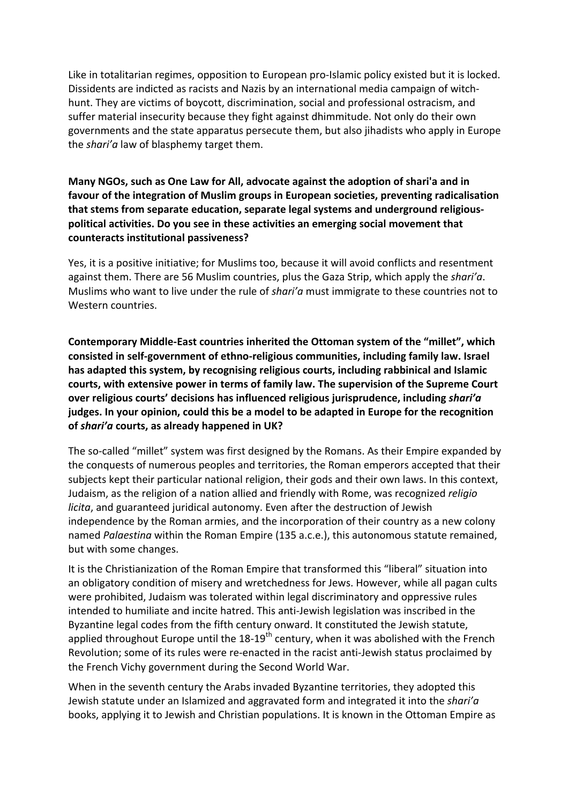Like in totalitarian regimes, opposition to European pro-Islamic policy existed but it is locked. Dissidents are indicted as racists and Nazis by an international media campaign of witchhunt. They are victims of boycott, discrimination, social and professional ostracism, and suffer material insecurity because they fight against dhimmitude. Not only do their own governments and the state apparatus persecute them, but also jihadists who apply in Europe the *shari'a* law of blasphemy target them.

### Many NGOs, such as One Law for All, advocate against the adoption of shari'a and in favour of the integration of Muslim groups in European societies, preventing radicalisation that stems from separate education, separate legal systems and underground religiouspolitical activities. Do you see in these activities an emerging social movement that **counteracts institutional passiveness?**

Yes, it is a positive initiative; for Muslims too, because it will avoid conflicts and resentment against them. There are 56 Muslim countries, plus the Gaza Strip, which apply the *shari'a*. Muslims who want to live under the rule of *shari'a* must immigrate to these countries not to Western countries.

**Contemporary Middle-East countries inherited the Ottoman system of the "millet", which** consisted in self-government of ethno-religious communities, including family law. Israel has adapted this system, by recognising religious courts, including rabbinical and Islamic courts, with extensive power in terms of family law. The supervision of the Supreme Court **over religious courts' decisions has influenced religious jurisprudence, including** *shari'a* judges. In your opinion, could this be a model to be adapted in Europe for the recognition of *shari'a* courts, as already happened in UK?

The so-called "millet" system was first designed by the Romans. As their Empire expanded by the conquests of numerous peoples and territories, the Roman emperors accepted that their subjects kept their particular national religion, their gods and their own laws. In this context, Judaism, as the religion of a nation allied and friendly with Rome, was recognized *religio licita*, and guaranteed juridical autonomy. Even after the destruction of Jewish independence by the Roman armies, and the incorporation of their country as a new colony named *Palaestina* within the Roman Empire (135 a.c.e.), this autonomous statute remained, but with some changes.

It is the Christianization of the Roman Empire that transformed this "liberal" situation into an obligatory condition of misery and wretchedness for Jews. However, while all pagan cults were prohibited, Judaism was tolerated within legal discriminatory and oppressive rules intended to humiliate and incite hatred. This anti-Jewish legislation was inscribed in the Byzantine legal codes from the fifth century onward. It constituted the Jewish statute, applied throughout Europe until the  $18-19^{th}$  century, when it was abolished with the French Revolution; some of its rules were re-enacted in the racist anti-Jewish status proclaimed by the French Vichy government during the Second World War.

When in the seventh century the Arabs invaded Byzantine territories, they adopted this Jewish statute under an Islamized and aggravated form and integrated it into the *shari'a* books, applying it to Jewish and Christian populations. It is known in the Ottoman Empire as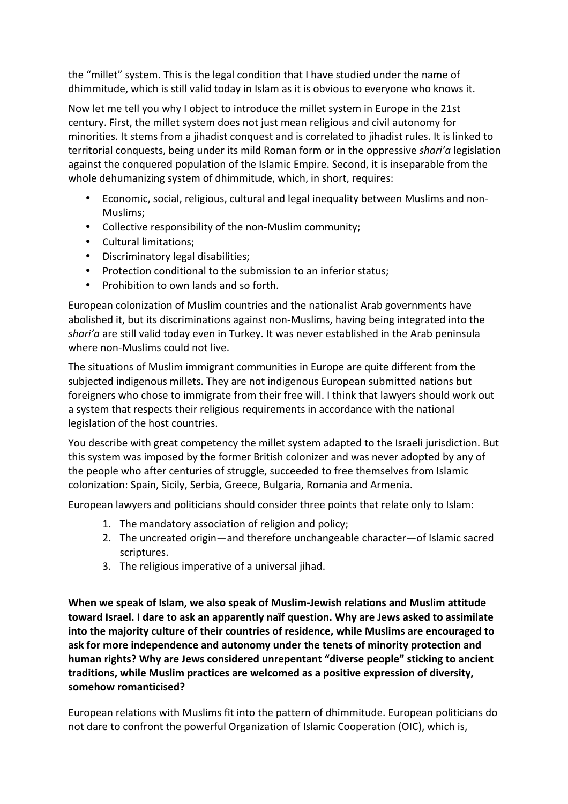the "millet" system. This is the legal condition that I have studied under the name of dhimmitude, which is still valid today in Islam as it is obvious to everyone who knows it.

Now let me tell you why I object to introduce the millet system in Europe in the 21st century. First, the millet system does not just mean religious and civil autonomy for minorities. It stems from a jihadist conquest and is correlated to jihadist rules. It is linked to territorial conquests, being under its mild Roman form or in the oppressive *shari'a* legislation against the conquered population of the Islamic Empire. Second, it is inseparable from the whole dehumanizing system of dhimmitude, which, in short, requires:

- Economic, social, religious, cultural and legal inequality between Muslims and non-Muslims;
- Collective responsibility of the non-Muslim community;
- Cultural limitations;
- Discriminatory legal disabilities;
- Protection conditional to the submission to an inferior status;
- Prohibition to own lands and so forth.

European colonization of Muslim countries and the nationalist Arab governments have abolished it, but its discriminations against non-Muslims, having being integrated into the shari'a are still valid today even in Turkey. It was never established in the Arab peninsula where non-Muslims could not live.

The situations of Muslim immigrant communities in Europe are quite different from the subjected indigenous millets. They are not indigenous European submitted nations but foreigners who chose to immigrate from their free will. I think that lawyers should work out a system that respects their religious requirements in accordance with the national legislation of the host countries.

You describe with great competency the millet system adapted to the Israeli jurisdiction. But this system was imposed by the former British colonizer and was never adopted by any of the people who after centuries of struggle, succeeded to free themselves from Islamic colonization: Spain, Sicily, Serbia, Greece, Bulgaria, Romania and Armenia.

European lawyers and politicians should consider three points that relate only to Islam:

- 1. The mandatory association of religion and policy;
- 2. The uncreated origin—and therefore unchangeable character—of Islamic sacred scriptures.
- 3. The religious imperative of a universal jihad.

When we speak of Islam, we also speak of Muslim-Jewish relations and Muslim attitude **toward Israel. I dare to ask an apparently naïf question. Why are Jews asked to assimilate** into the majority culture of their countries of residence, while Muslims are encouraged to ask for more independence and autonomy under the tenets of minority protection and human rights? Why are Jews considered unrepentant "diverse people" sticking to ancient traditions, while Muslim practices are welcomed as a positive expression of diversity, **somehow romanticised?**

European relations with Muslims fit into the pattern of dhimmitude. European politicians do not dare to confront the powerful Organization of Islamic Cooperation (OIC), which is,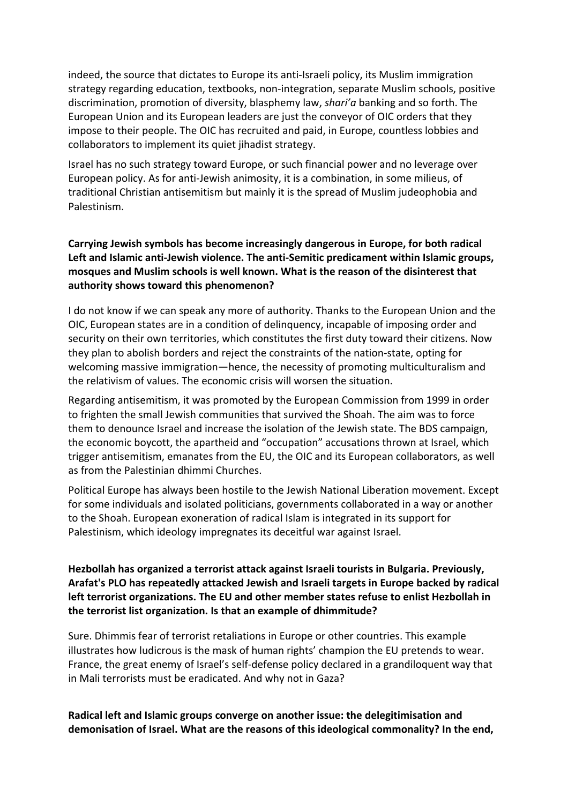indeed, the source that dictates to Europe its anti-Israeli policy, its Muslim immigration strategy regarding education, textbooks, non-integration, separate Muslim schools, positive discrimination, promotion of diversity, blasphemy law, shari'a banking and so forth. The European Union and its European leaders are just the conveyor of OIC orders that they impose to their people. The OIC has recruited and paid, in Europe, countless lobbies and collaborators to implement its quiet jihadist strategy.

Israel has no such strategy toward Europe, or such financial power and no leverage over European policy. As for anti-Jewish animosity, it is a combination, in some milieus, of traditional Christian antisemitism but mainly it is the spread of Muslim judeophobia and Palestinism.

### **Carrying Jewish symbols has become increasingly dangerous in Europe, for both radical** Left and Islamic anti-Jewish violence. The anti-Semitic predicament within Islamic groups, mosques and Muslim schools is well known. What is the reason of the disinterest that **authority shows toward this phenomenon?**

I do not know if we can speak any more of authority. Thanks to the European Union and the OIC, European states are in a condition of delinquency, incapable of imposing order and security on their own territories, which constitutes the first duty toward their citizens. Now they plan to abolish borders and reject the constraints of the nation-state, opting for welcoming massive immigration—hence, the necessity of promoting multiculturalism and the relativism of values. The economic crisis will worsen the situation.

Regarding antisemitism, it was promoted by the European Commission from 1999 in order to frighten the small Jewish communities that survived the Shoah. The aim was to force them to denounce Israel and increase the isolation of the Jewish state. The BDS campaign, the economic boycott, the apartheid and "occupation" accusations thrown at Israel, which trigger antisemitism, emanates from the EU, the OIC and its European collaborators, as well as from the Palestinian dhimmi Churches.

Political Europe has always been hostile to the Jewish National Liberation movement. Except for some individuals and isolated politicians, governments collaborated in a way or another to the Shoah. European exoneration of radical Islam is integrated in its support for Palestinism, which ideology impregnates its deceitful war against Israel.

### Hezbollah has organized a terrorist attack against Israeli tourists in Bulgaria. Previously, Arafat's PLO has repeatedly attacked Jewish and Israeli targets in Europe backed by radical left terrorist organizations. The EU and other member states refuse to enlist Hezbollah in the terrorist list organization. Is that an example of dhimmitude?

Sure. Dhimmis fear of terrorist retaliations in Europe or other countries. This example illustrates how ludicrous is the mask of human rights' champion the EU pretends to wear. France, the great enemy of Israel's self-defense policy declared in a grandiloquent way that in Mali terrorists must be eradicated. And why not in Gaza?

### Radical left and Islamic groups converge on another issue: the delegitimisation and demonisation of Israel. What are the reasons of this ideological commonality? In the end,